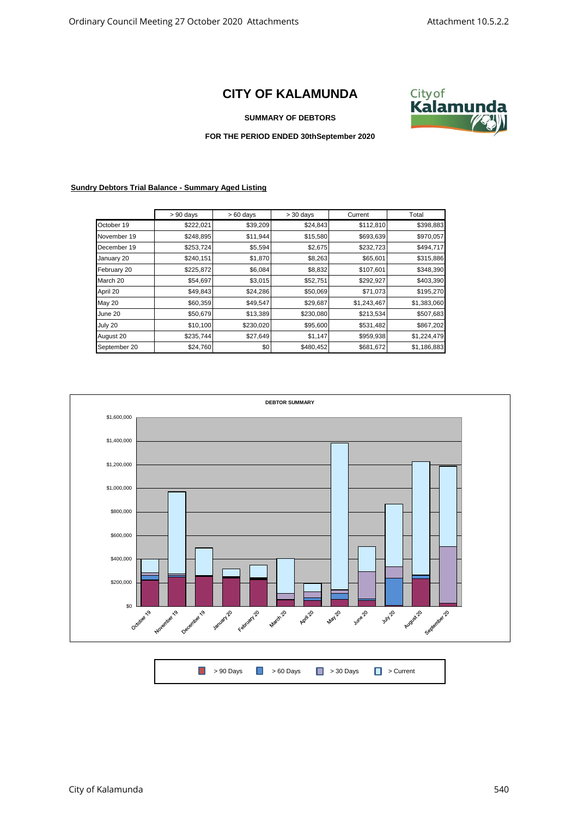## **CITY OF KALAMUNDA**



## **SUMMARY OF DEBTORS**

## **FOR THE PERIOD ENDED 30thSeptember 2020**

## **Sundry Debtors Trial Balance - Summary Aged Listing**

|              | $> 90$ days | $>60$ days | $>$ 30 days | Current     | Total       |
|--------------|-------------|------------|-------------|-------------|-------------|
| October 19   | \$222,021   | \$39,209   | \$24,843    | \$112,810   | \$398,883   |
| November 19  | \$248,895   | \$11,944   | \$15,580    | \$693,639   | \$970,057   |
| December 19  | \$253,724   | \$5,594    | \$2,675     | \$232,723   | \$494,717   |
| January 20   | \$240,151   | \$1,870    | \$8,263     | \$65,601    | \$315,886   |
| February 20  | \$225,872   | \$6,084    | \$8,832     | \$107,601   | \$348,390   |
| March 20     | \$54,697    | \$3,015    | \$52,751    | \$292,927   | \$403,390   |
| April 20     | \$49,843    | \$24,286   | \$50,069    | \$71,073    | \$195,270   |
| May 20       | \$60,359    | \$49,547   | \$29,687    | \$1,243,467 | \$1,383,060 |
| June 20      | \$50,679    | \$13,389   | \$230,080   | \$213,534   | \$507,683   |
| July 20      | \$10,100    | \$230,020  | \$95,600    | \$531,482   | \$867,202   |
| August 20    | \$235,744   | \$27,649   | \$1,147     | \$959,938   | \$1,224,479 |
| September 20 | \$24,760    | \$0        | \$480,452   | \$681,672   | \$1,186,883 |



|  | ■ > 90 Days ■ > 60 Days ■ > 30 Days ■ > Current |  |
|--|-------------------------------------------------|--|
|  |                                                 |  |